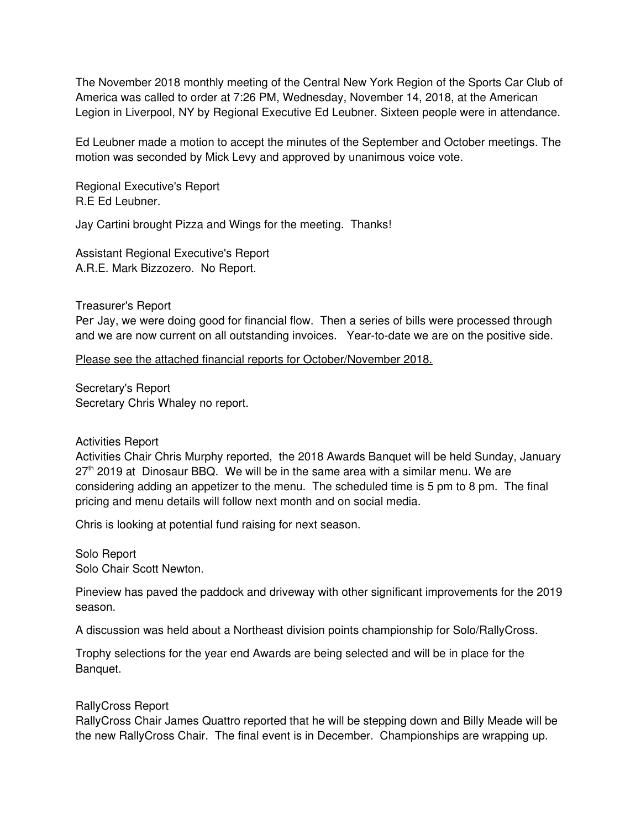The November 2018 monthly meeting of the Central New York Region of the Sports Car Club of America was called to order at 7:26 PM, Wednesday, November 14, 2018, at the American Legion in Liverpool, NY by Regional Executive Ed Leubner. Sixteen people were in attendance.

Ed Leubner made a motion to accept the minutes of the September and October meetings. The motion was seconded by Mick Levy and approved by unanimous voice vote.

Regional Executive's Report R.E Ed Leubner.

Jay Cartini brought Pizza and Wings for the meeting. Thanks!

Assistant Regional Executive's Report A.R.E. Mark Bizzozero. No Report.

Treasurer's Report

Per Jay, we were doing good for financial flow. Then a series of bills were processed through and we are now current on all outstanding invoices. Year-to-date we are on the positive side.

Please see the attached financial reports for October/November 2018.

Secretary's Report Secretary Chris Whaley no report.

## Activities Report

Activities Chair Chris Murphy reported, the 2018 Awards Banquet will be held Sunday, January  $27<sup>th</sup>$  2019 at Dinosaur BBQ. We will be in the same area with a similar menu. We are considering adding an appetizer to the menu. The scheduled time is 5 pm to 8 pm. The final pricing and menu details will follow next month and on social media.

Chris is looking at potential fund raising for next season.

Solo Report Solo Chair Scott Newton.

Pineview has paved the paddock and driveway with other significant improvements for the 2019 season.

A discussion was held about a Northeast division points championship for Solo/RallyCross.

Trophy selections for the year end Awards are being selected and will be in place for the Banquet.

## RallyCross Report

RallyCross Chair James Quattro reported that he will be stepping down and Billy Meade will be the new RallyCross Chair. The final event is in December. Championships are wrapping up.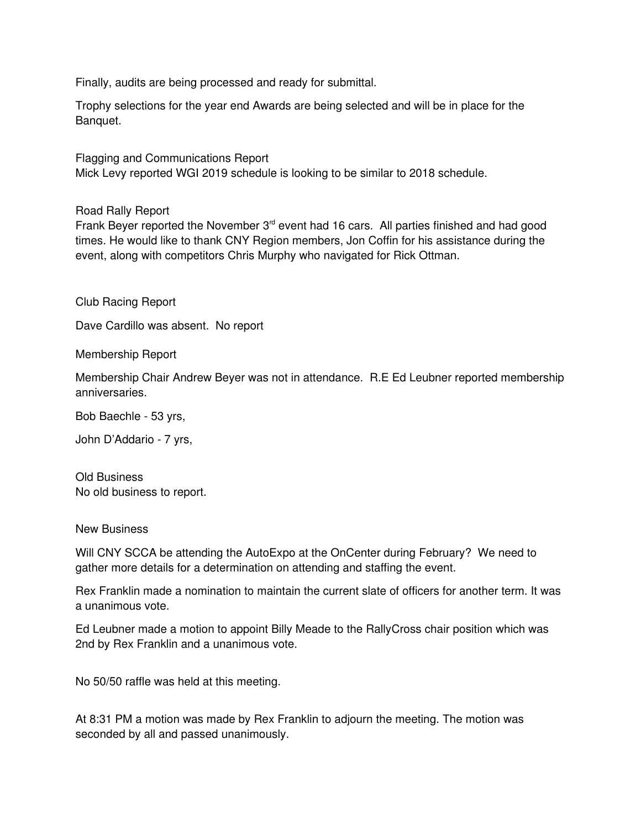Finally, audits are being processed and ready for submittal.

Trophy selections for the year end Awards are being selected and will be in place for the Banquet.

Flagging and Communications Report Mick Levy reported WGI 2019 schedule is looking to be similar to 2018 schedule.

Road Rally Report

Frank Beyer reported the November 3<sup>rd</sup> event had 16 cars. All parties finished and had good times. He would like to thank CNY Region members, Jon Coffin for his assistance during the event, along with competitors Chris Murphy who navigated for Rick Ottman.

Club Racing Report

Dave Cardillo was absent. No report

Membership Report

Membership Chair Andrew Beyer was not in attendance. R.E Ed Leubner reported membership anniversaries.

Bob Baechle - 53 yrs,

John D'Addario - 7 yrs,

Old Business No old business to report.

New Business

Will CNY SCCA be attending the AutoExpo at the OnCenter during February? We need to gather more details for a determination on attending and staffing the event.

Rex Franklin made a nomination to maintain the current slate of officers for another term. It was a unanimous vote.

Ed Leubner made a motion to appoint Billy Meade to the RallyCross chair position which was 2nd by Rex Franklin and a unanimous vote.

No 50/50 raffle was held at this meeting.

At 8:31 PM a motion was made by Rex Franklin to adjourn the meeting. The motion was seconded by all and passed unanimously.